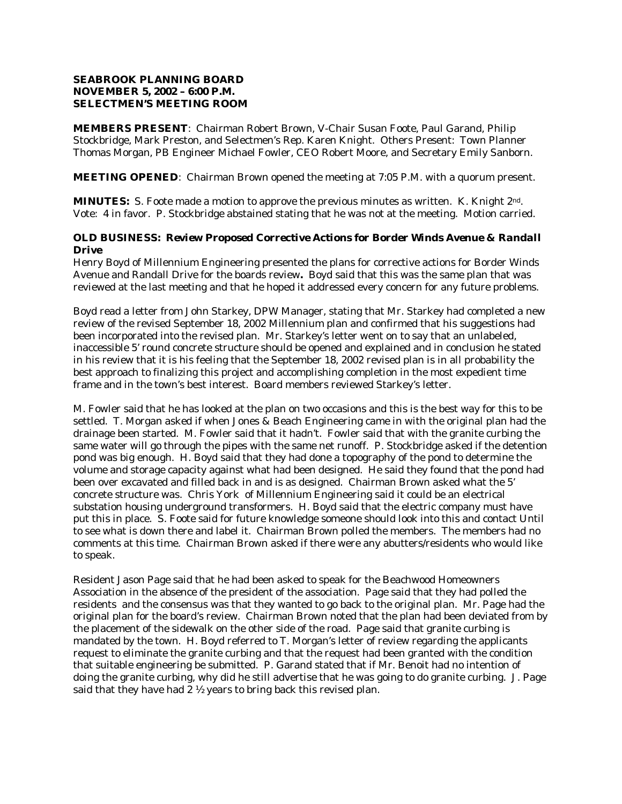## **SEABROOK PLANNING BOARD NOVEMBER 5, 2002 – 6:00 P.M. SELECTMEN'S MEETING ROOM**

**MEMBERS PRESENT**: Chairman Robert Brown, V-Chair Susan Foote, Paul Garand, Philip Stockbridge, Mark Preston, and Selectmen's Rep. Karen Knight. Others Present: Town Planner Thomas Morgan, PB Engineer Michael Fowler, CEO Robert Moore, and Secretary Emily Sanborn.

**MEETING OPENED**: Chairman Brown opened the meeting at 7:05 P.M. with a quorum present.

**MINUTES:** S. Foote made a motion to approve the previous minutes as written. K. Knight 2nd. Vote: 4 in favor. P. Stockbridge abstained stating that he was not at the meeting. Motion carried.

# **OLD BUSINESS:** *Review Proposed Corrective Actions for Border Winds Avenue & Randall Drive*

Henry Boyd of Millennium Engineering presented the plans for corrective actions for Border Winds Avenue and Randall Drive for the boards review*.* Boyd said that this was the same plan that was reviewed at the last meeting and that he hoped it addressed every concern for any future problems.

Boyd read a letter from John Starkey, DPW Manager, stating that Mr. Starkey had completed a new review of the revised September 18, 2002 Millennium plan and confirmed that his suggestions had been incorporated into the revised plan. Mr. Starkey's letter went on to say that an unlabeled, inaccessible 5' round concrete structure should be opened and explained and in conclusion he stated in his review that it is his feeling that the September 18, 2002 revised plan is in all probability the best approach to finalizing this project and accomplishing completion in the most expedient time frame and in the town's best interest. Board members reviewed Starkey's letter.

M. Fowler said that he has looked at the plan on two occasions and this is the best way for this to be settled. T. Morgan asked if when Jones & Beach Engineering came in with the original plan had the drainage been started. M. Fowler said that it hadn't. Fowler said that with the granite curbing the same water will go through the pipes with the same net runoff. P. Stockbridge asked if the detention pond was big enough. H. Boyd said that they had done a topography of the pond to determine the volume and storage capacity against what had been designed. He said they found that the pond had been over excavated and filled back in and is as designed. Chairman Brown asked what the 5' concrete structure was. Chris York of Millennium Engineering said it could be an electrical substation housing underground transformers. H. Boyd said that the electric company must have put this in place. S. Foote said for future knowledge someone should look into this and contact Until to see what is down there and label it. Chairman Brown polled the members. The members had no comments at this time. Chairman Brown asked if there were any abutters/residents who would like to speak.

Resident Jason Page said that he had been asked to speak for the Beachwood Homeowners Association in the absence of the president of the association. Page said that they had polled the residents and the consensus was that they wanted to go back to the original plan. Mr. Page had the original plan for the board's review. Chairman Brown noted that the plan had been deviated from by the placement of the sidewalk on the other side of the road. Page said that granite curbing is mandated by the town. H. Boyd referred to T. Morgan's letter of review regarding the applicants request to eliminate the granite curbing and that the request had been granted with the condition that suitable engineering be submitted. P. Garand stated that if Mr. Benoit had no intention of doing the granite curbing, why did he still advertise that he was going to do granite curbing. J. Page said that they have had 2 ½ years to bring back this revised plan.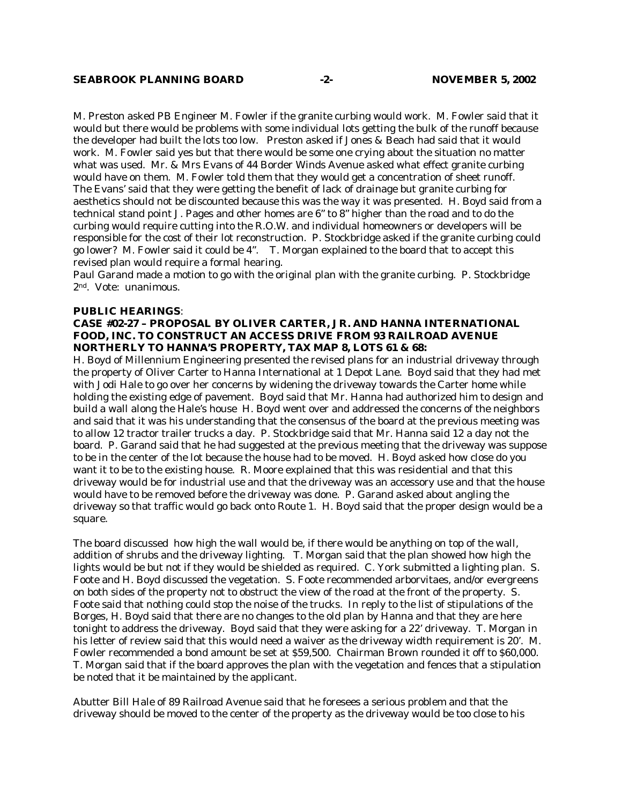M. Preston asked PB Engineer M. Fowler if the granite curbing would work. M. Fowler said that it would but there would be problems with some individual lots getting the bulk of the runoff because the developer had built the lots too low. Preston asked if Jones & Beach had said that it would work. M. Fowler said yes but that there would be some one crying about the situation no matter what was used. Mr. & Mrs Evans of 44 Border Winds Avenue asked what effect granite curbing would have on them. M. Fowler told them that they would get a concentration of sheet runoff. The Evans' said that they were getting the benefit of lack of drainage but granite curbing for aesthetics should not be discounted because this was the way it was presented. H. Boyd said from a technical stand point J. Pages and other homes are 6" to 8" higher than the road and to do the curbing would require cutting into the R.O.W. and individual homeowners or developers will be responsible for the cost of their lot reconstruction. P. Stockbridge asked if the granite curbing could go lower? M. Fowler said it could be 4". T. Morgan explained to the board that to accept this revised plan would require a formal hearing.

Paul Garand made a motion to go with the original plan with the granite curbing. P. Stockbridge 2nd. Vote: unanimous.

#### **PUBLIC HEARINGS**:

### **CASE #02-27 – PROPOSAL BY OLIVER CARTER, JR. AND HANNA INTERNATIONAL FOOD, INC. TO CONSTRUCT AN ACCESS DRIVE FROM 93 RAILROAD AVENUE NORTHERLY TO HANNA'S PROPERTY, TAX MAP 8, LOTS 61 & 68:**

H. Boyd of Millennium Engineering presented the revised plans for an industrial driveway through the property of Oliver Carter to Hanna International at 1 Depot Lane. Boyd said that they had met with Jodi Hale to go over her concerns by widening the driveway towards the Carter home while holding the existing edge of pavement. Boyd said that Mr. Hanna had authorized him to design and build a wall along the Hale's house H. Boyd went over and addressed the concerns of the neighbors and said that it was his understanding that the consensus of the board at the previous meeting was to allow 12 tractor trailer trucks a day. P. Stockbridge said that Mr. Hanna said 12 a day not the board. P. Garand said that he had suggested at the previous meeting that the driveway was suppose to be in the center of the lot because the house had to be moved. H. Boyd asked how close do you want it to be to the existing house. R. Moore explained that this was residential and that this driveway would be for industrial use and that the driveway was an accessory use and that the house would have to be removed before the driveway was done. P. Garand asked about angling the driveway so that traffic would go back onto Route 1. H. Boyd said that the proper design would be a square.

The board discussed how high the wall would be, if there would be anything on top of the wall, addition of shrubs and the driveway lighting. T. Morgan said that the plan showed how high the lights would be but not if they would be shielded as required. C. York submitted a lighting plan. S. Foote and H. Boyd discussed the vegetation. S. Foote recommended arborvitaes, and/or evergreens on both sides of the property not to obstruct the view of the road at the front of the property. S. Foote said that nothing could stop the noise of the trucks. In reply to the list of stipulations of the Borges, H. Boyd said that there are no changes to the old plan by Hanna and that they are here tonight to address the driveway. Boyd said that they were asking for a 22' driveway. T. Morgan in his letter of review said that this would need a waiver as the driveway width requirement is 20'. M. Fowler recommended a bond amount be set at \$59,500. Chairman Brown rounded it off to \$60,000. T. Morgan said that if the board approves the plan with the vegetation and fences that a stipulation be noted that it be maintained by the applicant.

Abutter Bill Hale of 89 Railroad Avenue said that he foresees a serious problem and that the driveway should be moved to the center of the property as the driveway would be too close to his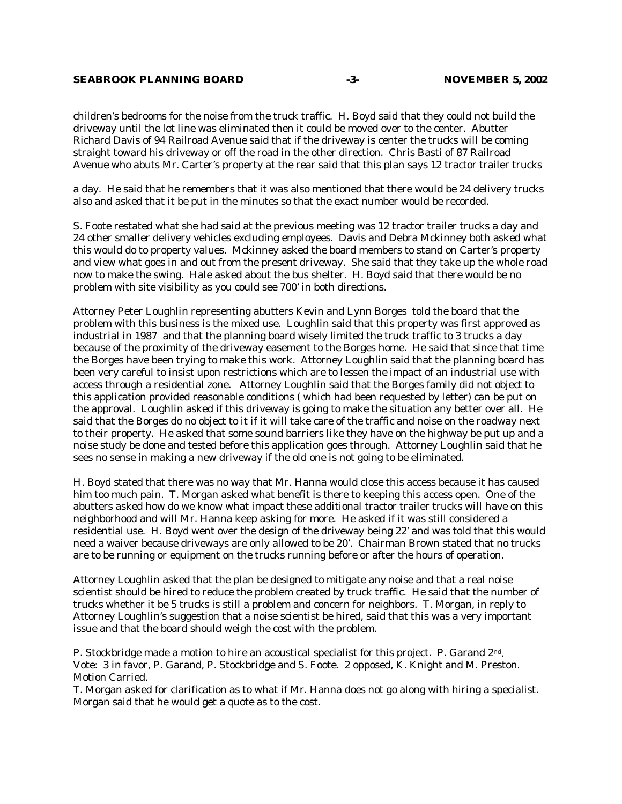### **SEABROOK PLANNING BOARD -3- NOVEMBER 5, 2002**

children's bedrooms for the noise from the truck traffic. H. Boyd said that they could not build the driveway until the lot line was eliminated then it could be moved over to the center. Abutter Richard Davis of 94 Railroad Avenue said that if the driveway is center the trucks will be coming straight toward his driveway or off the road in the other direction. Chris Basti of 87 Railroad Avenue who abuts Mr. Carter's property at the rear said that this plan says 12 tractor trailer trucks

a day. He said that he remembers that it was also mentioned that there would be 24 delivery trucks also and asked that it be put in the minutes so that the exact number would be recorded.

S. Foote restated what she had said at the previous meeting was 12 tractor trailer trucks a day and 24 other smaller delivery vehicles excluding employees. Davis and Debra Mckinney both asked what this would do to property values. Mckinney asked the board members to stand on Carter's property and view what goes in and out from the present driveway. She said that they take up the whole road now to make the swing. Hale asked about the bus shelter. H. Boyd said that there would be no problem with site visibility as you could see 700' in both directions.

Attorney Peter Loughlin representing abutters Kevin and Lynn Borges told the board that the problem with this business is the mixed use. Loughlin said that this property was first approved as industrial in 1987 and that the planning board wisely limited the truck traffic to 3 trucks a day because of the proximity of the driveway easement to the Borges home. He said that since that time the Borges have been trying to make this work. Attorney Loughlin said that the planning board has been very careful to insist upon restrictions which are to lessen the impact of an industrial use with access through a residential zone. Attorney Loughlin said that the Borges family did not object to this application provided reasonable conditions ( which had been requested by letter) can be put on the approval. Loughlin asked if this driveway is going to make the situation any better over all. He said that the Borges do no object to it if it will take care of the traffic and noise on the roadway next to their property. He asked that some sound barriers like they have on the highway be put up and a noise study be done and tested before this application goes through. Attorney Loughlin said that he sees no sense in making a new driveway if the old one is not going to be eliminated.

H. Boyd stated that there was no way that Mr. Hanna would close this access because it has caused him too much pain. T. Morgan asked what benefit is there to keeping this access open. One of the abutters asked how do we know what impact these additional tractor trailer trucks will have on this neighborhood and will Mr. Hanna keep asking for more. He asked if it was still considered a residential use. H. Boyd went over the design of the driveway being 22' and was told that this would need a waiver because driveways are only allowed to be 20'. Chairman Brown stated that no trucks are to be running or equipment on the trucks running before or after the hours of operation.

Attorney Loughlin asked that the plan be designed to mitigate any noise and that a real noise scientist should be hired to reduce the problem created by truck traffic. He said that the number of trucks whether it be 5 trucks is still a problem and concern for neighbors. T. Morgan, in reply to Attorney Loughlin's suggestion that a noise scientist be hired, said that this was a very important issue and that the board should weigh the cost with the problem.

P. Stockbridge made a motion to hire an acoustical specialist for this project. P. Garand 2nd. Vote: 3 in favor, P. Garand, P. Stockbridge and S. Foote. 2 opposed, K. Knight and M. Preston. Motion Carried.

T. Morgan asked for clarification as to what if Mr. Hanna does not go along with hiring a specialist. Morgan said that he would get a quote as to the cost.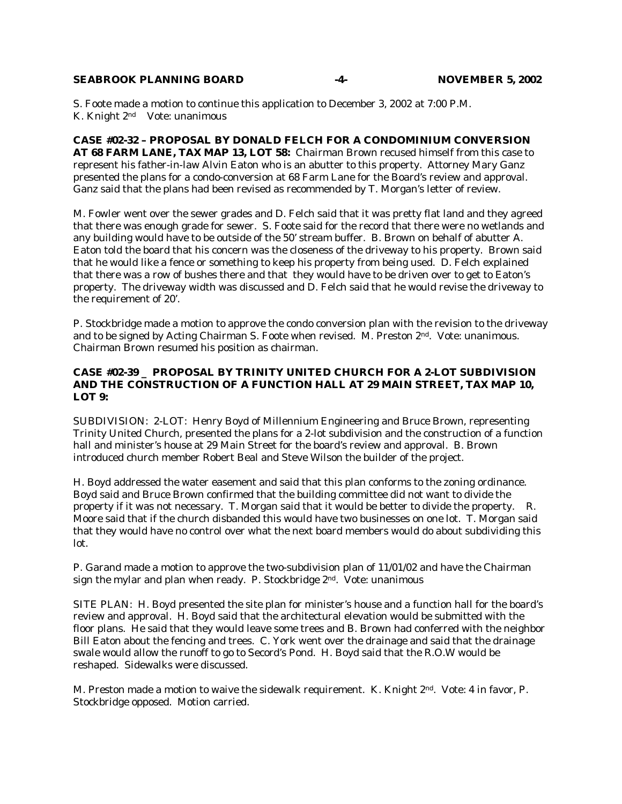#### **SEABROOK PLANNING BOARD** 4- NOVEMBER 5, 2002

S. Foote made a motion to continue this application to December 3, 2002 at 7:00 P.M. K. Knight 2nd Vote: unanimous

**CASE #02-32 – PROPOSAL BY DONALD FELCH FOR A CONDOMINIUM CONVERSION AT 68 FARM LANE, TAX MAP 13, LOT 58:** Chairman Brown recused himself from this case to represent his father-in-law Alvin Eaton who is an abutter to this property. Attorney Mary Ganz presented the plans for a condo-conversion at 68 Farm Lane for the Board's review and approval. Ganz said that the plans had been revised as recommended by T. Morgan's letter of review.

M. Fowler went over the sewer grades and D. Felch said that it was pretty flat land and they agreed that there was enough grade for sewer. S. Foote said for the record that there were no wetlands and any building would have to be outside of the 50' stream buffer. B. Brown on behalf of abutter A. Eaton told the board that his concern was the closeness of the driveway to his property. Brown said that he would like a fence or something to keep his property from being used. D. Felch explained that there was a row of bushes there and that they would have to be driven over to get to Eaton's property. The driveway width was discussed and D. Felch said that he would revise the driveway to the requirement of 20'.

P. Stockbridge made a motion to approve the condo conversion plan with the revision to the driveway and to be signed by Acting Chairman S. Foote when revised. M. Preston 2nd. Vote: unanimous. Chairman Brown resumed his position as chairman.

#### **CASE #02-39 \_ PROPOSAL BY TRINITY UNITED CHURCH FOR A 2-LOT SUBDIVISION AND THE CONSTRUCTION OF A FUNCTION HALL AT 29 MAIN STREET, TAX MAP 10, LOT 9:**

SUBDIVISION: 2-LOT: Henry Boyd of Millennium Engineering and Bruce Brown, representing Trinity United Church, presented the plans for a 2-lot subdivision and the construction of a function hall and minister's house at 29 Main Street for the board's review and approval. B. Brown introduced church member Robert Beal and Steve Wilson the builder of the project.

H. Boyd addressed the water easement and said that this plan conforms to the zoning ordinance. Boyd said and Bruce Brown confirmed that the building committee did not want to divide the property if it was not necessary. T. Morgan said that it would be better to divide the property. R. Moore said that if the church disbanded this would have two businesses on one lot. T. Morgan said that they would have no control over what the next board members would do about subdividing this lot.

P. Garand made a motion to approve the two-subdivision plan of 11/01/02 and have the Chairman sign the mylar and plan when ready. P. Stockbridge 2nd. Vote: unanimous

SITE PLAN: H. Boyd presented the site plan for minister's house and a function hall for the board's review and approval. H. Boyd said that the architectural elevation would be submitted with the floor plans. He said that they would leave some trees and B. Brown had conferred with the neighbor Bill Eaton about the fencing and trees. C. York went over the drainage and said that the drainage swale would allow the runoff to go to Secord's Pond. H. Boyd said that the R.O.W would be reshaped. Sidewalks were discussed.

M. Preston made a motion to waive the sidewalk requirement. K. Knight 2nd. Vote: 4 in favor, P. Stockbridge opposed. Motion carried.